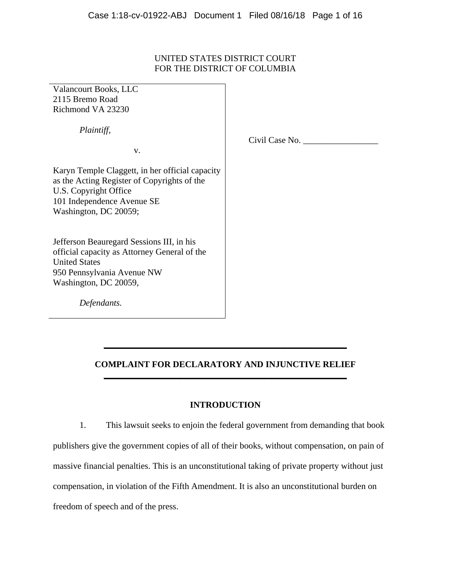# UNITED STATES DISTRICT COURT FOR THE DISTRICT OF COLUMBIA

Valancourt Books, LLC 2115 Bremo Road Richmond VA 23230

 *Plaintiff,* 

v.

Civil Case No. \_\_\_\_\_\_\_\_\_\_\_\_\_\_\_\_\_

Karyn Temple Claggett, in her official capacity as the Acting Register of Copyrights of the U.S. Copyright Office 101 Independence Avenue SE Washington, DC 20059;

Jefferson Beauregard Sessions III, in his official capacity as Attorney General of the United States 950 Pennsylvania Avenue NW Washington, DC 20059,

 *Defendants.* 

# **COMPLAINT FOR DECLARATORY AND INJUNCTIVE RELIEF \_\_\_\_\_\_\_\_\_\_\_\_\_\_\_\_\_\_\_\_\_\_\_\_\_\_\_\_\_\_\_\_\_\_\_\_\_\_\_\_\_\_\_\_\_\_\_\_\_\_\_\_\_\_\_**

**\_\_\_\_\_\_\_\_\_\_\_\_\_\_\_\_\_\_\_\_\_\_\_\_\_\_\_\_\_\_\_\_\_\_\_\_\_\_\_\_\_\_\_\_\_\_\_\_\_\_\_\_\_\_\_** 

# **INTRODUCTION**

1. This lawsuit seeks to enjoin the federal government from demanding that book publishers give the government copies of all of their books, without compensation, on pain of massive financial penalties. This is an unconstitutional taking of private property without just compensation, in violation of the Fifth Amendment. It is also an unconstitutional burden on freedom of speech and of the press.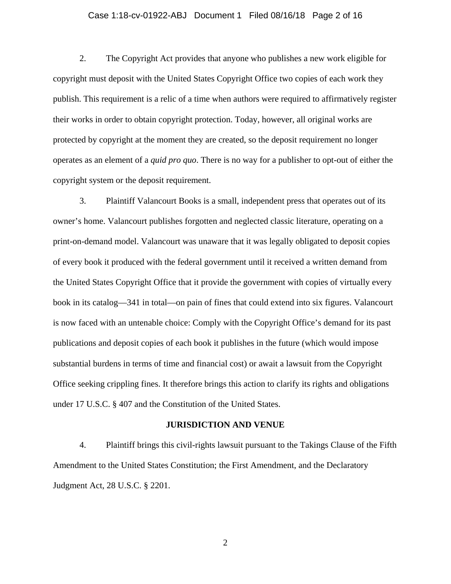## Case 1:18-cv-01922-ABJ Document 1 Filed 08/16/18 Page 2 of 16

2. The Copyright Act provides that anyone who publishes a new work eligible for copyright must deposit with the United States Copyright Office two copies of each work they publish. This requirement is a relic of a time when authors were required to affirmatively register their works in order to obtain copyright protection. Today, however, all original works are protected by copyright at the moment they are created, so the deposit requirement no longer operates as an element of a *quid pro quo*. There is no way for a publisher to opt-out of either the copyright system or the deposit requirement.

3. Plaintiff Valancourt Books is a small, independent press that operates out of its owner's home. Valancourt publishes forgotten and neglected classic literature, operating on a print-on-demand model. Valancourt was unaware that it was legally obligated to deposit copies of every book it produced with the federal government until it received a written demand from the United States Copyright Office that it provide the government with copies of virtually every book in its catalog—341 in total—on pain of fines that could extend into six figures. Valancourt is now faced with an untenable choice: Comply with the Copyright Office's demand for its past publications and deposit copies of each book it publishes in the future (which would impose substantial burdens in terms of time and financial cost) or await a lawsuit from the Copyright Office seeking crippling fines. It therefore brings this action to clarify its rights and obligations under 17 U.S.C. § 407 and the Constitution of the United States.

#### **JURISDICTION AND VENUE**

4. Plaintiff brings this civil-rights lawsuit pursuant to the Takings Clause of the Fifth Amendment to the United States Constitution; the First Amendment, and the Declaratory Judgment Act, 28 U.S.C. § 2201.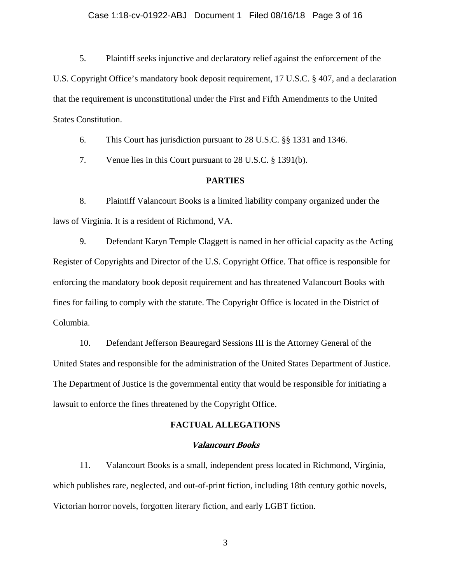### Case 1:18-cv-01922-ABJ Document 1 Filed 08/16/18 Page 3 of 16

5. Plaintiff seeks injunctive and declaratory relief against the enforcement of the U.S. Copyright Office's mandatory book deposit requirement, 17 U.S.C. § 407, and a declaration that the requirement is unconstitutional under the First and Fifth Amendments to the United States Constitution.

6. This Court has jurisdiction pursuant to 28 U.S.C. §§ 1331 and 1346.

7. Venue lies in this Court pursuant to 28 U.S.C. § 1391(b).

### **PARTIES**

8. Plaintiff Valancourt Books is a limited liability company organized under the laws of Virginia. It is a resident of Richmond, VA.

9. Defendant Karyn Temple Claggett is named in her official capacity as the Acting Register of Copyrights and Director of the U.S. Copyright Office. That office is responsible for enforcing the mandatory book deposit requirement and has threatened Valancourt Books with fines for failing to comply with the statute. The Copyright Office is located in the District of Columbia.

10. Defendant Jefferson Beauregard Sessions III is the Attorney General of the United States and responsible for the administration of the United States Department of Justice. The Department of Justice is the governmental entity that would be responsible for initiating a lawsuit to enforce the fines threatened by the Copyright Office.

#### **FACTUAL ALLEGATIONS**

#### **Valancourt Books**

11. Valancourt Books is a small, independent press located in Richmond, Virginia, which publishes rare, neglected, and out-of-print fiction, including 18th century gothic novels, Victorian horror novels, forgotten literary fiction, and early LGBT fiction.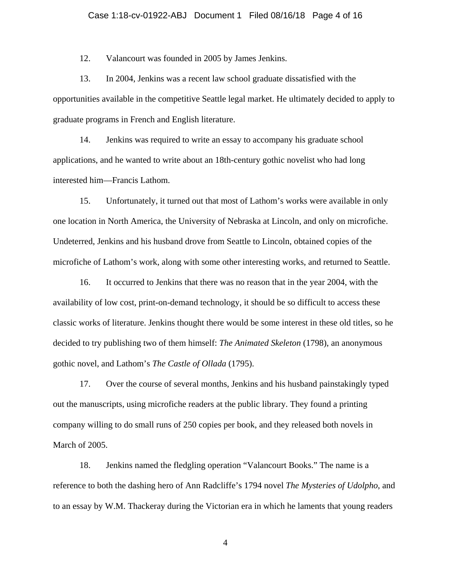### Case 1:18-cv-01922-ABJ Document 1 Filed 08/16/18 Page 4 of 16

12. Valancourt was founded in 2005 by James Jenkins.

13. In 2004, Jenkins was a recent law school graduate dissatisfied with the opportunities available in the competitive Seattle legal market. He ultimately decided to apply to graduate programs in French and English literature.

14. Jenkins was required to write an essay to accompany his graduate school applications, and he wanted to write about an 18th-century gothic novelist who had long interested him—Francis Lathom.

15. Unfortunately, it turned out that most of Lathom's works were available in only one location in North America, the University of Nebraska at Lincoln, and only on microfiche. Undeterred, Jenkins and his husband drove from Seattle to Lincoln, obtained copies of the microfiche of Lathom's work, along with some other interesting works, and returned to Seattle.

16. It occurred to Jenkins that there was no reason that in the year 2004, with the availability of low cost, print-on-demand technology, it should be so difficult to access these classic works of literature. Jenkins thought there would be some interest in these old titles, so he decided to try publishing two of them himself: *The Animated Skeleton* (1798), an anonymous gothic novel, and Lathom's *The Castle of Ollada* (1795).

17. Over the course of several months, Jenkins and his husband painstakingly typed out the manuscripts, using microfiche readers at the public library. They found a printing company willing to do small runs of 250 copies per book, and they released both novels in March of 2005.

18. Jenkins named the fledgling operation "Valancourt Books." The name is a reference to both the dashing hero of Ann Radcliffe's 1794 novel *The Mysteries of Udolpho*, and to an essay by W.M. Thackeray during the Victorian era in which he laments that young readers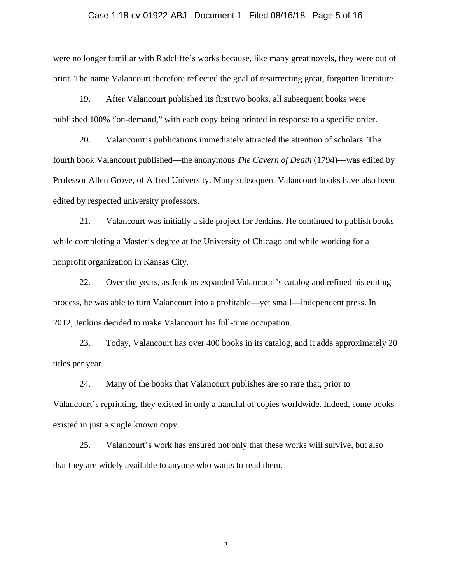### Case 1:18-cv-01922-ABJ Document 1 Filed 08/16/18 Page 5 of 16

were no longer familiar with Radcliffe's works because, like many great novels, they were out of print. The name Valancourt therefore reflected the goal of resurrecting great, forgotten literature.

19. After Valancourt published its first two books, all subsequent books were published 100% "on-demand," with each copy being printed in response to a specific order.

20. Valancourt's publications immediately attracted the attention of scholars. The fourth book Valancourt published—the anonymous *The Cavern of Death* (1794)—was edited by Professor Allen Grove, of Alfred University. Many subsequent Valancourt books have also been edited by respected university professors.

21. Valancourt was initially a side project for Jenkins. He continued to publish books while completing a Master's degree at the University of Chicago and while working for a nonprofit organization in Kansas City.

22. Over the years, as Jenkins expanded Valancourt's catalog and refined his editing process, he was able to turn Valancourt into a profitable—yet small—independent press. In 2012, Jenkins decided to make Valancourt his full-time occupation.

23. Today, Valancourt has over 400 books in its catalog, and it adds approximately 20 titles per year.

24. Many of the books that Valancourt publishes are so rare that, prior to Valancourt's reprinting, they existed in only a handful of copies worldwide. Indeed, some books existed in just a single known copy.

25. Valancourt's work has ensured not only that these works will survive, but also that they are widely available to anyone who wants to read them.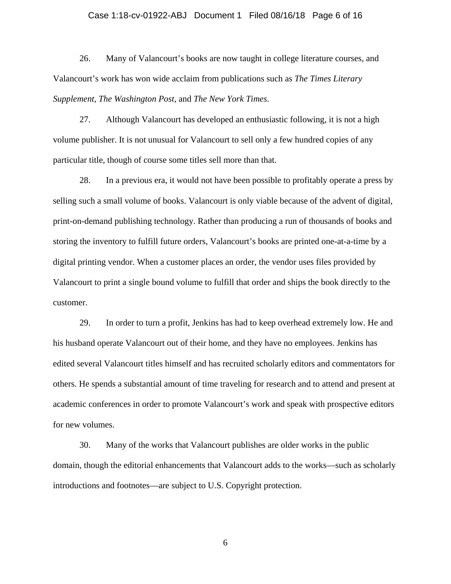#### Case 1:18-cv-01922-ABJ Document 1 Filed 08/16/18 Page 6 of 16

26. Many of Valancourt's books are now taught in college literature courses, and Valancourt's work has won wide acclaim from publications such as *The Times Literary Supplement*, *The Washington Post*, and *The New York Times*.

27. Although Valancourt has developed an enthusiastic following, it is not a high volume publisher. It is not unusual for Valancourt to sell only a few hundred copies of any particular title, though of course some titles sell more than that.

28. In a previous era, it would not have been possible to profitably operate a press by selling such a small volume of books. Valancourt is only viable because of the advent of digital, print-on-demand publishing technology. Rather than producing a run of thousands of books and storing the inventory to fulfill future orders, Valancourt's books are printed one-at-a-time by a digital printing vendor. When a customer places an order, the vendor uses files provided by Valancourt to print a single bound volume to fulfill that order and ships the book directly to the customer.

29. In order to turn a profit, Jenkins has had to keep overhead extremely low. He and his husband operate Valancourt out of their home, and they have no employees. Jenkins has edited several Valancourt titles himself and has recruited scholarly editors and commentators for others. He spends a substantial amount of time traveling for research and to attend and present at academic conferences in order to promote Valancourt's work and speak with prospective editors for new volumes.

30. Many of the works that Valancourt publishes are older works in the public domain, though the editorial enhancements that Valancourt adds to the works—such as scholarly introductions and footnotes—are subject to U.S. Copyright protection.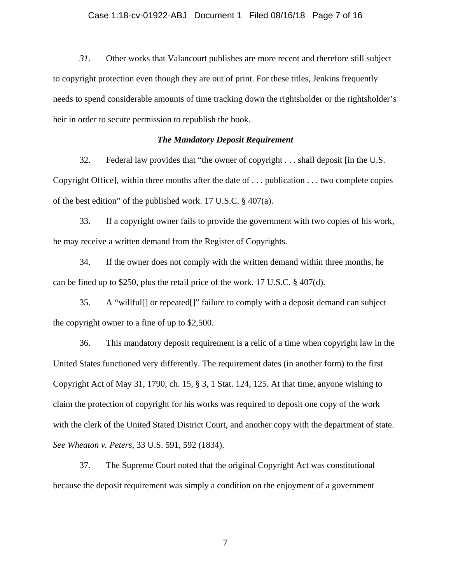## Case 1:18-cv-01922-ABJ Document 1 Filed 08/16/18 Page 7 of 16

*31.* Other works that Valancourt publishes are more recent and therefore still subject to copyright protection even though they are out of print. For these titles, Jenkins frequently needs to spend considerable amounts of time tracking down the rightsholder or the rightsholder's heir in order to secure permission to republish the book.

### *The Mandatory Deposit Requirement*

32. Federal law provides that "the owner of copyright . . . shall deposit [in the U.S. Copyright Office], within three months after the date of . . . publication . . . two complete copies of the best edition" of the published work. 17 U.S.C. § 407(a).

33. If a copyright owner fails to provide the government with two copies of his work, he may receive a written demand from the Register of Copyrights.

34. If the owner does not comply with the written demand within three months, he can be fined up to \$250, plus the retail price of the work. 17 U.S.C. § 407(d).

35. A "willful[] or repeated[]" failure to comply with a deposit demand can subject the copyright owner to a fine of up to \$2,500.

36. This mandatory deposit requirement is a relic of a time when copyright law in the United States functioned very differently. The requirement dates (in another form) to the first Copyright Act of May 31, 1790, ch. 15, § 3, 1 Stat. 124, 125. At that time, anyone wishing to claim the protection of copyright for his works was required to deposit one copy of the work with the clerk of the United Stated District Court, and another copy with the department of state. *See Wheaton v. Peters*, 33 U.S. 591, 592 (1834).

37. The Supreme Court noted that the original Copyright Act was constitutional because the deposit requirement was simply a condition on the enjoyment of a government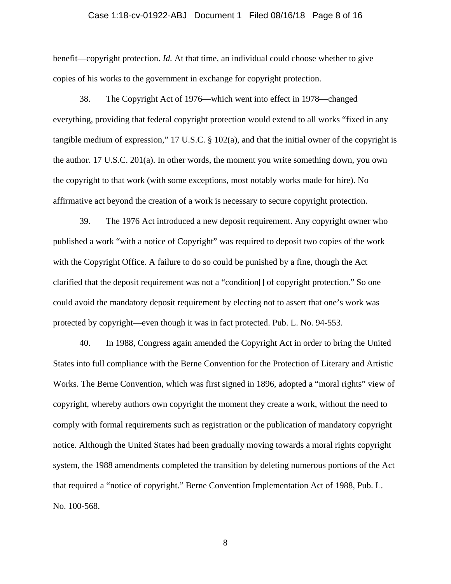## Case 1:18-cv-01922-ABJ Document 1 Filed 08/16/18 Page 8 of 16

benefit—copyright protection. *Id.* At that time, an individual could choose whether to give copies of his works to the government in exchange for copyright protection.

38. The Copyright Act of 1976—which went into effect in 1978—changed everything, providing that federal copyright protection would extend to all works "fixed in any tangible medium of expression," 17 U.S.C. § 102(a), and that the initial owner of the copyright is the author. 17 U.S.C. 201(a). In other words, the moment you write something down, you own the copyright to that work (with some exceptions, most notably works made for hire). No affirmative act beyond the creation of a work is necessary to secure copyright protection.

39. The 1976 Act introduced a new deposit requirement. Any copyright owner who published a work "with a notice of Copyright" was required to deposit two copies of the work with the Copyright Office. A failure to do so could be punished by a fine, though the Act clarified that the deposit requirement was not a "condition[] of copyright protection." So one could avoid the mandatory deposit requirement by electing not to assert that one's work was protected by copyright—even though it was in fact protected. Pub. L. No. 94-553.

40. In 1988, Congress again amended the Copyright Act in order to bring the United States into full compliance with the Berne Convention for the Protection of Literary and Artistic Works. The Berne Convention, which was first signed in 1896, adopted a "moral rights" view of copyright, whereby authors own copyright the moment they create a work, without the need to comply with formal requirements such as registration or the publication of mandatory copyright notice. Although the United States had been gradually moving towards a moral rights copyright system, the 1988 amendments completed the transition by deleting numerous portions of the Act that required a "notice of copyright." Berne Convention Implementation Act of 1988, Pub. L. No. 100-568.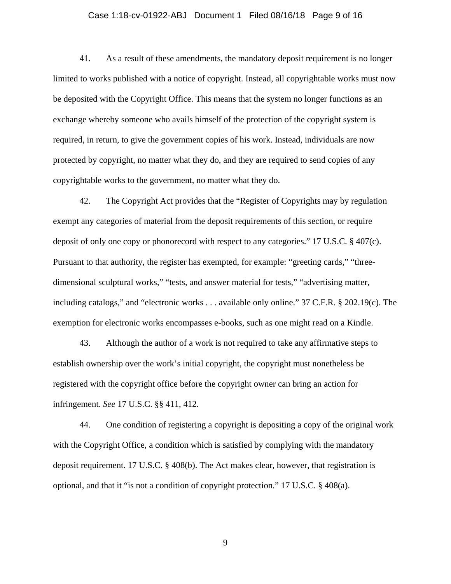## Case 1:18-cv-01922-ABJ Document 1 Filed 08/16/18 Page 9 of 16

41. As a result of these amendments, the mandatory deposit requirement is no longer limited to works published with a notice of copyright. Instead, all copyrightable works must now be deposited with the Copyright Office. This means that the system no longer functions as an exchange whereby someone who avails himself of the protection of the copyright system is required, in return, to give the government copies of his work. Instead, individuals are now protected by copyright, no matter what they do, and they are required to send copies of any copyrightable works to the government, no matter what they do.

42. The Copyright Act provides that the "Register of Copyrights may by regulation exempt any categories of material from the deposit requirements of this section, or require deposit of only one copy or phonorecord with respect to any categories." 17 U.S.C. § 407(c). Pursuant to that authority, the register has exempted, for example: "greeting cards," "threedimensional sculptural works," "tests, and answer material for tests," "advertising matter, including catalogs," and "electronic works . . . available only online." 37 C.F.R. § 202.19(c). The exemption for electronic works encompasses e-books, such as one might read on a Kindle.

43. Although the author of a work is not required to take any affirmative steps to establish ownership over the work's initial copyright, the copyright must nonetheless be registered with the copyright office before the copyright owner can bring an action for infringement. *See* 17 U.S.C. §§ 411, 412.

44. One condition of registering a copyright is depositing a copy of the original work with the Copyright Office, a condition which is satisfied by complying with the mandatory deposit requirement. 17 U.S.C. § 408(b). The Act makes clear, however, that registration is optional, and that it "is not a condition of copyright protection." 17 U.S.C. § 408(a).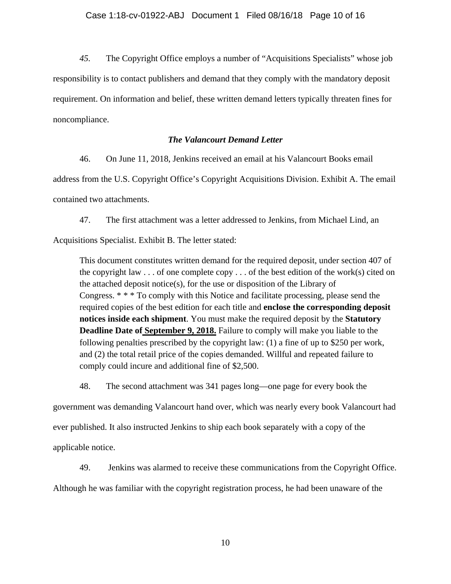*45.* The Copyright Office employs a number of "Acquisitions Specialists" whose job responsibility is to contact publishers and demand that they comply with the mandatory deposit requirement. On information and belief, these written demand letters typically threaten fines for noncompliance.

# *The Valancourt Demand Letter*

46. On June 11, 2018, Jenkins received an email at his Valancourt Books email

address from the U.S. Copyright Office's Copyright Acquisitions Division. Exhibit A. The email contained two attachments.

47. The first attachment was a letter addressed to Jenkins, from Michael Lind, an

Acquisitions Specialist. Exhibit B. The letter stated:

This document constitutes written demand for the required deposit, under section 407 of the copyright law  $\ldots$  of one complete copy  $\ldots$  of the best edition of the work(s) cited on the attached deposit notice(s), for the use or disposition of the Library of Congress. \* \* \* To comply with this Notice and facilitate processing, please send the required copies of the best edition for each title and **enclose the corresponding deposit notices inside each shipment**. You must make the required deposit by the **Statutory Deadline Date of September 9, 2018.** Failure to comply will make you liable to the following penalties prescribed by the copyright law: (1) a fine of up to \$250 per work, and (2) the total retail price of the copies demanded. Willful and repeated failure to comply could incure and additional fine of \$2,500.

48. The second attachment was 341 pages long—one page for every book the

government was demanding Valancourt hand over, which was nearly every book Valancourt had ever published. It also instructed Jenkins to ship each book separately with a copy of the applicable notice.

49. Jenkins was alarmed to receive these communications from the Copyright Office.

Although he was familiar with the copyright registration process, he had been unaware of the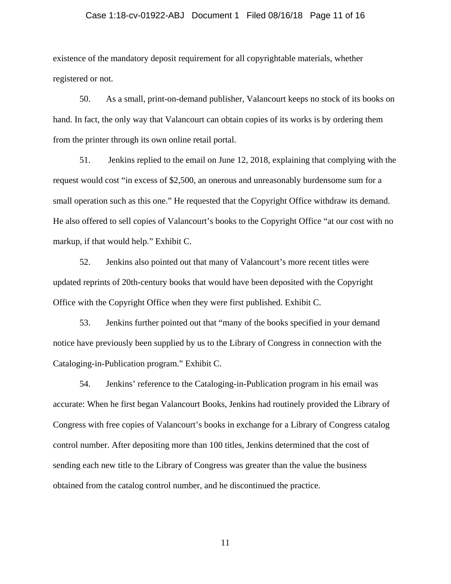### Case 1:18-cv-01922-ABJ Document 1 Filed 08/16/18 Page 11 of 16

existence of the mandatory deposit requirement for all copyrightable materials, whether registered or not.

50. As a small, print-on-demand publisher, Valancourt keeps no stock of its books on hand. In fact, the only way that Valancourt can obtain copies of its works is by ordering them from the printer through its own online retail portal.

51. Jenkins replied to the email on June 12, 2018, explaining that complying with the request would cost "in excess of \$2,500, an onerous and unreasonably burdensome sum for a small operation such as this one." He requested that the Copyright Office withdraw its demand. He also offered to sell copies of Valancourt's books to the Copyright Office "at our cost with no markup, if that would help." Exhibit C.

52. Jenkins also pointed out that many of Valancourt's more recent titles were updated reprints of 20th-century books that would have been deposited with the Copyright Office with the Copyright Office when they were first published. Exhibit C.

53. Jenkins further pointed out that "many of the books specified in your demand notice have previously been supplied by us to the Library of Congress in connection with the Cataloging-in-Publication program." Exhibit C.

54. Jenkins' reference to the Cataloging-in-Publication program in his email was accurate: When he first began Valancourt Books, Jenkins had routinely provided the Library of Congress with free copies of Valancourt's books in exchange for a Library of Congress catalog control number. After depositing more than 100 titles, Jenkins determined that the cost of sending each new title to the Library of Congress was greater than the value the business obtained from the catalog control number, and he discontinued the practice.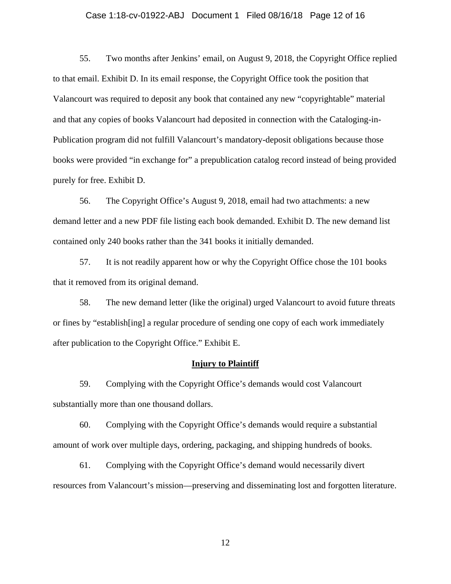## Case 1:18-cv-01922-ABJ Document 1 Filed 08/16/18 Page 12 of 16

55. Two months after Jenkins' email, on August 9, 2018, the Copyright Office replied to that email. Exhibit D. In its email response, the Copyright Office took the position that Valancourt was required to deposit any book that contained any new "copyrightable" material and that any copies of books Valancourt had deposited in connection with the Cataloging-in-Publication program did not fulfill Valancourt's mandatory-deposit obligations because those books were provided "in exchange for" a prepublication catalog record instead of being provided purely for free. Exhibit D.

56. The Copyright Office's August 9, 2018, email had two attachments: a new demand letter and a new PDF file listing each book demanded. Exhibit D. The new demand list contained only 240 books rather than the 341 books it initially demanded.

57. It is not readily apparent how or why the Copyright Office chose the 101 books that it removed from its original demand.

58. The new demand letter (like the original) urged Valancourt to avoid future threats or fines by "establish[ing] a regular procedure of sending one copy of each work immediately after publication to the Copyright Office." Exhibit E.

### **Injury to Plaintiff**

59. Complying with the Copyright Office's demands would cost Valancourt substantially more than one thousand dollars.

60. Complying with the Copyright Office's demands would require a substantial amount of work over multiple days, ordering, packaging, and shipping hundreds of books.

61. Complying with the Copyright Office's demand would necessarily divert resources from Valancourt's mission—preserving and disseminating lost and forgotten literature.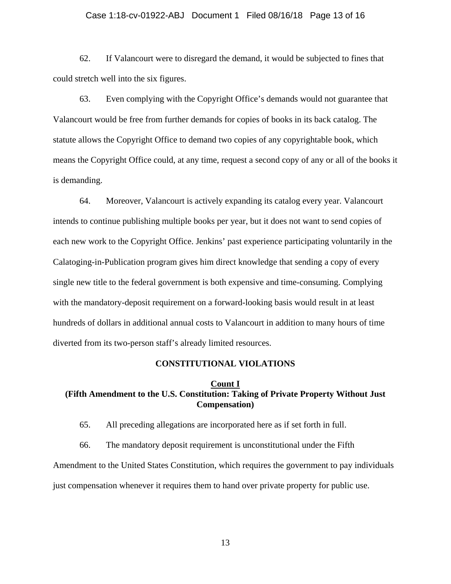## Case 1:18-cv-01922-ABJ Document 1 Filed 08/16/18 Page 13 of 16

62. If Valancourt were to disregard the demand, it would be subjected to fines that could stretch well into the six figures.

63. Even complying with the Copyright Office's demands would not guarantee that Valancourt would be free from further demands for copies of books in its back catalog. The statute allows the Copyright Office to demand two copies of any copyrightable book, which means the Copyright Office could, at any time, request a second copy of any or all of the books it is demanding.

64. Moreover, Valancourt is actively expanding its catalog every year. Valancourt intends to continue publishing multiple books per year, but it does not want to send copies of each new work to the Copyright Office. Jenkins' past experience participating voluntarily in the Calatoging-in-Publication program gives him direct knowledge that sending a copy of every single new title to the federal government is both expensive and time-consuming. Complying with the mandatory-deposit requirement on a forward-looking basis would result in at least hundreds of dollars in additional annual costs to Valancourt in addition to many hours of time diverted from its two-person staff's already limited resources.

#### **CONSTITUTIONAL VIOLATIONS**

#### **Count I**

# **(Fifth Amendment to the U.S. Constitution: Taking of Private Property Without Just Compensation)**

65. All preceding allegations are incorporated here as if set forth in full.

66. The mandatory deposit requirement is unconstitutional under the Fifth Amendment to the United States Constitution, which requires the government to pay individuals just compensation whenever it requires them to hand over private property for public use.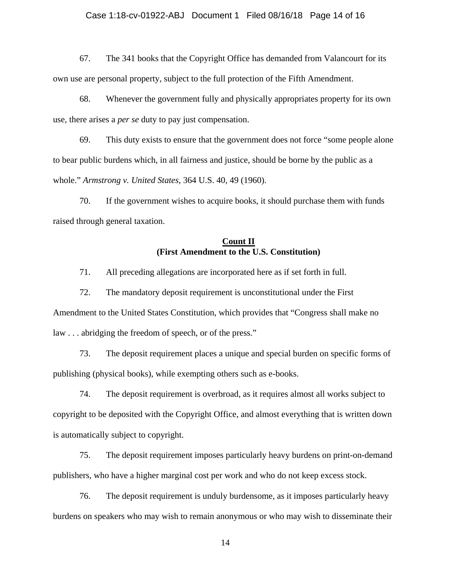### Case 1:18-cv-01922-ABJ Document 1 Filed 08/16/18 Page 14 of 16

67. The 341 books that the Copyright Office has demanded from Valancourt for its own use are personal property, subject to the full protection of the Fifth Amendment.

68. Whenever the government fully and physically appropriates property for its own use, there arises a *per se* duty to pay just compensation.

69. This duty exists to ensure that the government does not force "some people alone to bear public burdens which, in all fairness and justice, should be borne by the public as a whole." *Armstrong v. United States*, 364 U.S. 40, 49 (1960).

70. If the government wishes to acquire books, it should purchase them with funds raised through general taxation.

# **Count II (First Amendment to the U.S. Constitution)**

71. All preceding allegations are incorporated here as if set forth in full.

72. The mandatory deposit requirement is unconstitutional under the First Amendment to the United States Constitution, which provides that "Congress shall make no law . . . abridging the freedom of speech, or of the press."

73. The deposit requirement places a unique and special burden on specific forms of publishing (physical books), while exempting others such as e-books.

74. The deposit requirement is overbroad, as it requires almost all works subject to copyright to be deposited with the Copyright Office, and almost everything that is written down is automatically subject to copyright.

75. The deposit requirement imposes particularly heavy burdens on print-on-demand publishers, who have a higher marginal cost per work and who do not keep excess stock.

76. The deposit requirement is unduly burdensome, as it imposes particularly heavy burdens on speakers who may wish to remain anonymous or who may wish to disseminate their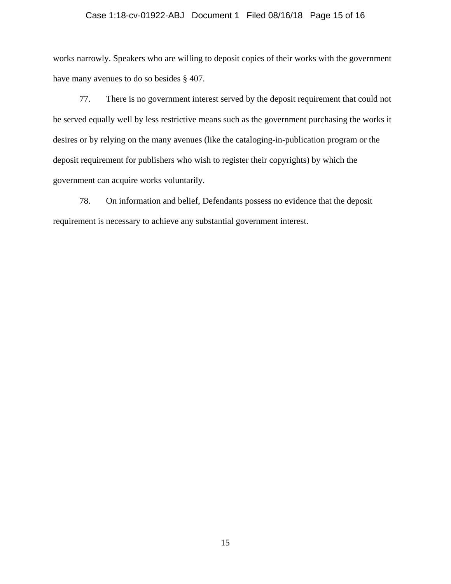### Case 1:18-cv-01922-ABJ Document 1 Filed 08/16/18 Page 15 of 16

works narrowly. Speakers who are willing to deposit copies of their works with the government have many avenues to do so besides § 407.

77. There is no government interest served by the deposit requirement that could not be served equally well by less restrictive means such as the government purchasing the works it desires or by relying on the many avenues (like the cataloging-in-publication program or the deposit requirement for publishers who wish to register their copyrights) by which the government can acquire works voluntarily.

78. On information and belief, Defendants possess no evidence that the deposit requirement is necessary to achieve any substantial government interest.